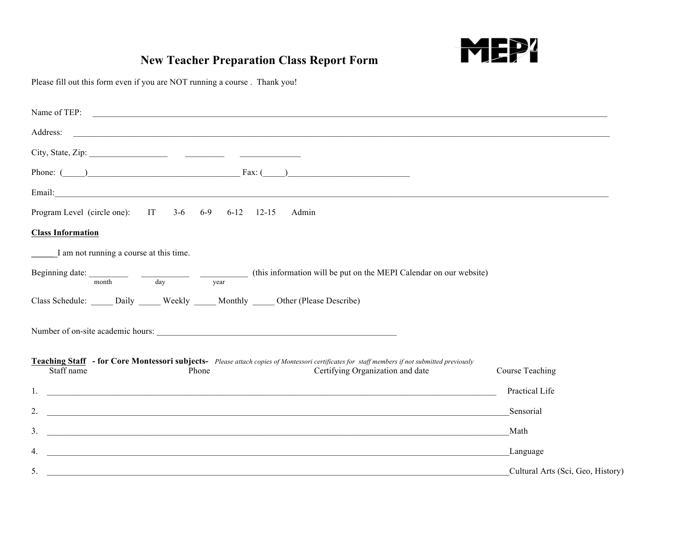

## **New Teacher Preparation Class Report Form**

Please fill out this form even if you are NOT running a course . Thank you!

| Phone: $\qquad \qquad$ Fax: $\qquad \qquad$                                                                                                                                                                                          |                                   |
|--------------------------------------------------------------------------------------------------------------------------------------------------------------------------------------------------------------------------------------|-----------------------------------|
| Email: <u>Alexander Alexander and Alexander and Alexander and Alexander and Alexander and Alexander and Alexander and Alexander and Alexander and Alexander and Alexander and Alexander and Alexander and Alexander and Alexande</u> |                                   |
| Program Level (circle one): IT 3-6 6-9 6-12 12-15<br>Admin                                                                                                                                                                           |                                   |
| <b>Class Information</b>                                                                                                                                                                                                             |                                   |
| I am not running a course at this time.                                                                                                                                                                                              |                                   |
| Beginning date: $\frac{1}{\text{month}}$ $\frac{1}{\text{day}}$ $\frac{1}{\text{year}}$ (this information will be put on the MEPI Calendar on our website)                                                                           |                                   |
| Class Schedule: Daily Weekly Monthly Other (Please Describe)                                                                                                                                                                         |                                   |
|                                                                                                                                                                                                                                      |                                   |
| Teaching Staff - for Core Montessori subjects- Please attach copies of Montessori certificates for staff members if not submitted previously<br>Staff name<br>Certifying Organization and date<br>Phone                              | Course Teaching                   |
|                                                                                                                                                                                                                                      | Practical Life                    |
| $2^{1}$<br><u> 1999 - Jan Barbara, martxa al II-lea (h. 1989).</u><br>Notae al II-lea (h. 1908).                                                                                                                                     | Sensorial                         |
| 3 <sub>1</sub><br><u> 1999 - Jan Samuel Barbara, martin da shekara ta 1999 - Andrea Samuel Barbara, marka ta 1999 - Andrea Samuel B</u>                                                                                              | Math                              |
| 4.<br><u> 1989 - Jan Samuel Barbara, margaret a shekara 1989 - Andrea Samuel Barbara, marka 1989 - Andrea Samuel Barbar</u>                                                                                                          | Language                          |
| 5.<br><u> 1989 - Johann Stoff, deutscher Stoffen und der Stoffen und der Stoffen und der Stoffen und der Stoffen und der</u>                                                                                                         | Cultural Arts (Sci, Geo, History) |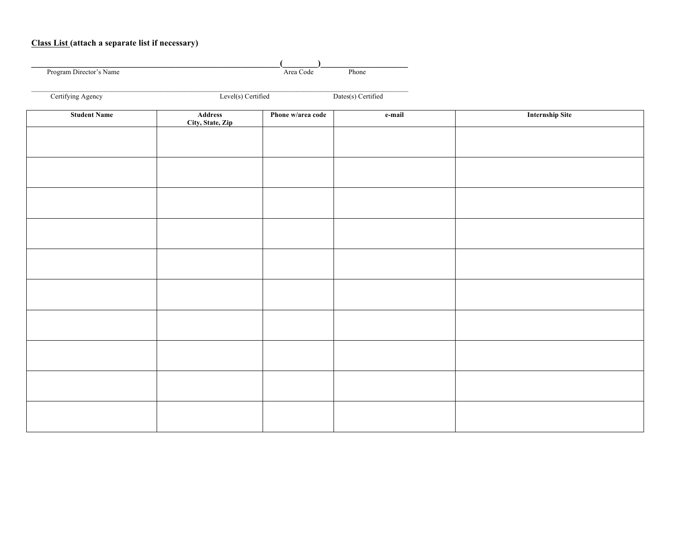## **Class List (attach a separate list if necessary)**

| Program Director's Name |                             | Area Code         | Phone              |                        |  |
|-------------------------|-----------------------------|-------------------|--------------------|------------------------|--|
| Certifying Agency       | Level(s) Certified          |                   | Dates(s) Certified |                        |  |
| <b>Student Name</b>     | Address<br>City, State, Zip | Phone w/area code | e-mail             | <b>Internship Site</b> |  |
|                         |                             |                   |                    |                        |  |
|                         |                             |                   |                    |                        |  |
|                         |                             |                   |                    |                        |  |
|                         |                             |                   |                    |                        |  |
|                         |                             |                   |                    |                        |  |
|                         |                             |                   |                    |                        |  |
|                         |                             |                   |                    |                        |  |
|                         |                             |                   |                    |                        |  |
|                         |                             |                   |                    |                        |  |
|                         |                             |                   |                    |                        |  |
|                         |                             |                   |                    |                        |  |
|                         |                             |                   |                    |                        |  |
|                         |                             |                   |                    |                        |  |
|                         |                             |                   |                    |                        |  |
|                         |                             |                   |                    |                        |  |
|                         |                             |                   |                    |                        |  |